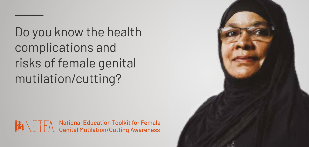Do you know the health complications and risks of female genital mutilation/cutting?

National Education Toolkit for Female MNFTFA Genital Mutilation/Cutting Awareness

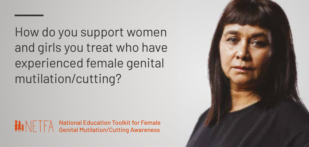How do you support women and girls you treat who have experienced female genital mutilation/cutting?

National Education Toolkit for Female MNFTFA Genital Mutilation/Cutting Awareness

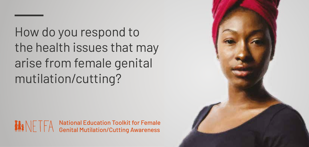How do you respond to the health issues that may arise from female genital mutilation/cutting?

National Education Toolkit for Female MINETFA Genital Mutilation/Cutting Awareness

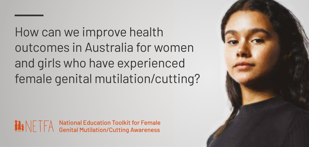How can we improve health outcomes in Australia for women and girls who have experienced female genital mutilation/cutting?

National Education Toolkit for Female MINETFA Genital Mutilation/Cutting Awareness